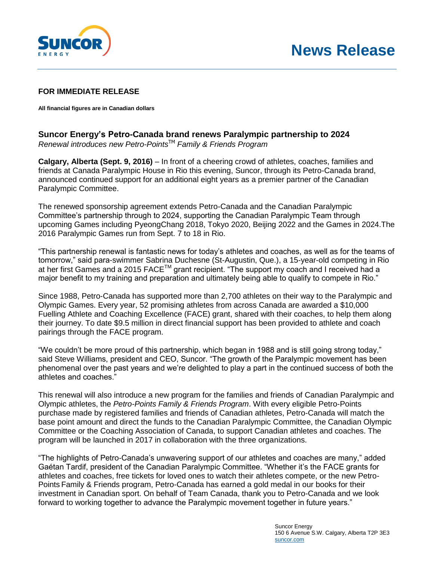

## **FOR IMMEDIATE RELEASE**

**All financial figures are in Canadian dollars** 

## **Suncor Energy's Petro-Canada brand renews Paralympic partnership to 2024**

*Renewal introduces new Petro-Points*TM *Family & Friends Program*

**Calgary, Alberta (Sept. 9, 2016)** – In front of a cheering crowd of athletes, coaches, families and friends at Canada Paralympic House in Rio this evening, Suncor, through its Petro-Canada brand, announced continued support for an additional eight years as a premier partner of the Canadian Paralympic Committee.

The renewed sponsorship agreement extends Petro-Canada and the Canadian Paralympic Committee's partnership through to 2024, supporting the Canadian Paralympic Team through upcoming Games including PyeongChang 2018, Tokyo 2020, Beijing 2022 and the Games in 2024.The 2016 Paralympic Games run from Sept. 7 to 18 in Rio.

"This partnership renewal is fantastic news for today's athletes and coaches, as well as for the teams of tomorrow," said para-swimmer Sabrina Duchesne (St-Augustin, Que.), a 15-year-old competing in Rio at her first Games and a 2015 FACE™ grant recipient. "The support my coach and I received had a major benefit to my training and preparation and ultimately being able to qualify to compete in Rio."

Since 1988, Petro-Canada has supported more than 2,700 athletes on their way to the Paralympic and Olympic Games. Every year, 52 promising athletes from across Canada are awarded a \$10,000 Fuelling Athlete and Coaching Excellence (FACE) grant, shared with their coaches, to help them along their journey. To date \$9.5 million in direct financial support has been provided to athlete and coach pairings through the FACE program.

"We couldn't be more proud of this partnership, which began in 1988 and is still going strong today," said Steve Williams, president and CEO, Suncor. "The growth of the Paralympic movement has been phenomenal over the past years and we're delighted to play a part in the continued success of both the athletes and coaches."

This renewal will also introduce a new program for the families and friends of Canadian Paralympic and Olympic athletes, the *Petro-Points Family & Friends Program*. With every eligible Petro-Points purchase made by registered families and friends of Canadian athletes, Petro-Canada will match the base point amount and direct the funds to the Canadian Paralympic Committee, the Canadian Olympic Committee or the Coaching Association of Canada, to support Canadian athletes and coaches. The program will be launched in 2017 in collaboration with the three organizations.

"The highlights of Petro-Canada's unwavering support of our athletes and coaches are many," added Gaétan Tardif, president of the Canadian Paralympic Committee. "Whether it's the FACE grants for athletes and coaches, free tickets for loved ones to watch their athletes compete, or the new Petro-Points Family & Friends program, Petro-Canada has earned a gold medal in our books for their investment in Canadian sport. On behalf of Team Canada, thank you to Petro-Canada and we look forward to working together to advance the Paralympic movement together in future years."